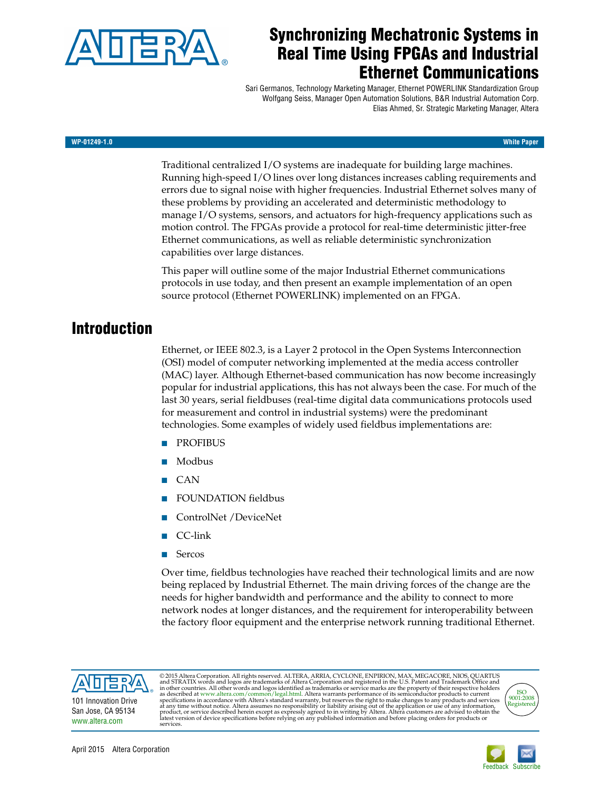

# **Synchronizing Mechatronic Systems in Real Time Using FPGAs and Industrial Ethernet Communications**

Sari Germanos, Technology Marketing Manager, Ethernet POWERLINK Standardization Group Wolfgang Seiss, Manager Open Automation Solutions, B&R Industrial Automation Corp. Elias Ahmed, Sr. Strategic Marketing Manager, Altera

#### **WP-01249-1.0 White Paper**

Traditional centralized I/O systems are inadequate for building large machines. Running high-speed I/O lines over long distances increases cabling requirements and errors due to signal noise with higher frequencies. Industrial Ethernet solves many of these problems by providing an accelerated and deterministic methodology to manage I/O systems, sensors, and actuators for high-frequency applications such as motion control. The FPGAs provide a protocol for real-time deterministic jitter-free Ethernet communications, as well as reliable deterministic synchronization capabilities over large distances.

This paper will outline some of the major Industrial Ethernet communications protocols in use today, and then present an example implementation of an open source protocol (Ethernet POWERLINK) implemented on an FPGA.

# **Introduction**

Ethernet, or IEEE 802.3, is a Layer 2 protocol in the Open Systems Interconnection (OSI) model of computer networking implemented at the media access controller (MAC) layer. Although Ethernet-based communication has now become increasingly popular for industrial applications, this has not always been the case. For much of the last 30 years, serial fieldbuses (real-time digital data communications protocols used for measurement and control in industrial systems) were the predominant technologies. Some examples of widely used fieldbus implementations are:

- **PROFIBUS**
- Modbus
- CAN
- FOUNDATION fieldbus
- ControlNet /DeviceNet
- CC-link
- Sercos

Over time, fieldbus technologies have reached their technological limits and are now being replaced by Industrial Ethernet. The main driving forces of the change are the needs for higher bandwidth and performance and the ability to connect to more network nodes at longer distances, and the requirement for interoperability between the factory floor equipment and the enterprise network running traditional Ethernet.



© 2015 Altera Corporation. All rights reserved. ALTERA, ARRIA, CYCLONE, ENPIRION, MAX, MEGACORE, NIOS, QUARTUS<br>and STRATIX words and logos are trademarks of Altera Corporation and registered in the U.S. Patent and Trademar product, or service described herein except as expressly agreed to in writing by Altera. Altera customers are advised to obtain the<br>latest version of device specifications before relying on any published information and be



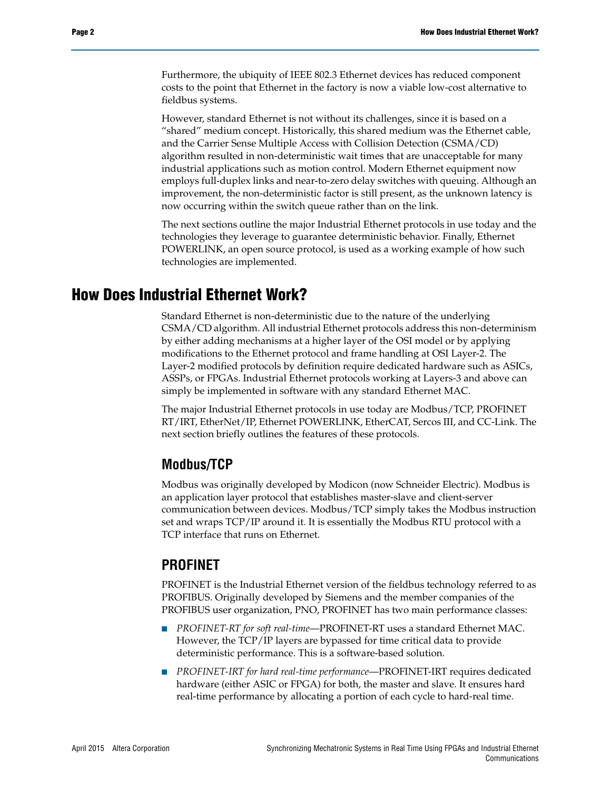Furthermore, the ubiquity of IEEE 802.3 Ethernet devices has reduced component costs to the point that Ethernet in the factory is now a viable low-cost alternative to fieldbus systems.

However, standard Ethernet is not without its challenges, since it is based on a "shared" medium concept. Historically, this shared medium was the Ethernet cable, and the Carrier Sense Multiple Access with Collision Detection (CSMA/CD) algorithm resulted in non-deterministic wait times that are unacceptable for many industrial applications such as motion control. Modern Ethernet equipment now employs full-duplex links and near-to-zero delay switches with queuing. Although an improvement, the non-deterministic factor is still present, as the unknown latency is now occurring within the switch queue rather than on the link.

The next sections outline the major Industrial Ethernet protocols in use today and the technologies they leverage to guarantee deterministic behavior. Finally, Ethernet POWERLINK, an open source protocol, is used as a working example of how such technologies are implemented.

# **How Does Industrial Ethernet Work?**

Standard Ethernet is non-deterministic due to the nature of the underlying CSMA/CD algorithm. All industrial Ethernet protocols address this non-determinism by either adding mechanisms at a higher layer of the OSI model or by applying modifications to the Ethernet protocol and frame handling at OSI Layer-2. The Layer-2 modified protocols by definition require dedicated hardware such as ASICs, ASSPs, or FPGAs. Industrial Ethernet protocols working at Layers-3 and above can simply be implemented in software with any standard Ethernet MAC.

The major Industrial Ethernet protocols in use today are Modbus/TCP, PROFINET RT/IRT, EtherNet/IP, Ethernet POWERLINK, EtherCAT, Sercos III, and CC-Link. The next section briefly outlines the features of these protocols.

#### **Modbus/TCP**

Modbus was originally developed by Modicon (now Schneider Electric). Modbus is an application layer protocol that establishes master-slave and client-server communication between devices. Modbus/TCP simply takes the Modbus instruction set and wraps TCP/IP around it. It is essentially the Modbus RTU protocol with a TCP interface that runs on Ethernet.

#### **PROFINET**

PROFINET is the Industrial Ethernet version of the fieldbus technology referred to as PROFIBUS. Originally developed by Siemens and the member companies of the PROFIBUS user organization, PNO, PROFINET has two main performance classes:

- *PROFINET-RT for soft real-time*—PROFINET-RT uses a standard Ethernet MAC. However, the TCP/IP layers are bypassed for time critical data to provide deterministic performance. This is a software-based solution.
- *PROFINET-IRT for hard real-time performance*—PROFINET-IRT requires dedicated hardware (either ASIC or FPGA) for both, the master and slave. It ensures hard real-time performance by allocating a portion of each cycle to hard-real time.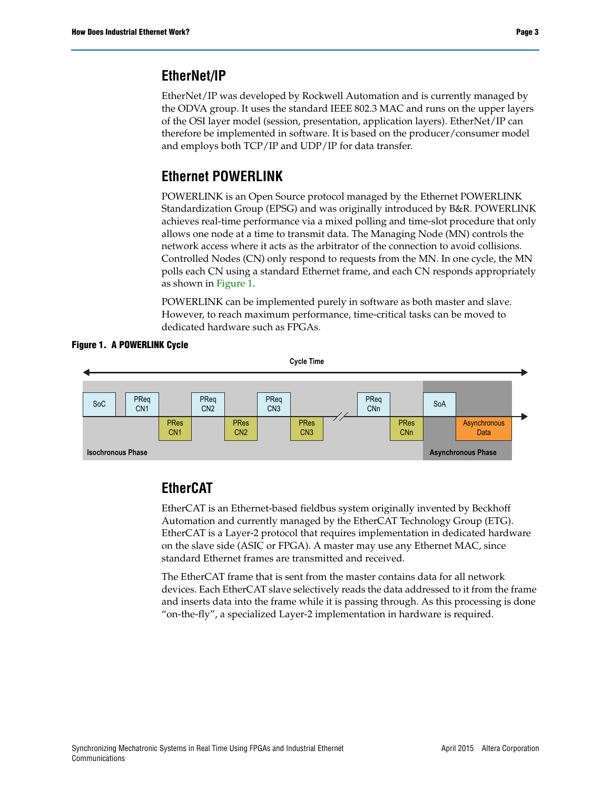### **EtherNet/IP**

EtherNet/IP was developed by Rockwell Automation and is currently managed by the ODVA group. It uses the standard IEEE 802.3 MAC and runs on the upper layers of the OSI layer model (session, presentation, application layers). EtherNet/IP can therefore be implemented in software. It is based on the producer/consumer model and employs both TCP/IP and UDP/IP for data transfer.

# **Ethernet POWERLINK**

POWERLINK is an Open Source protocol managed by the Ethernet POWERLINK Standardization Group (EPSG) and was originally introduced by B&R. POWERLINK achieves real-time performance via a mixed polling and time-slot procedure that only allows one node at a time to transmit data. The Managing Node (MN) controls the network access where it acts as the arbitrator of the connection to avoid collisions. Controlled Nodes (CN) only respond to requests from the MN. In one cycle, the MN polls each CN using a standard Ethernet frame, and each CN responds appropriately as shown in [Figure 1](#page-2-0).

POWERLINK can be implemented purely in software as both master and slave. However, to reach maximum performance, time-critical tasks can be moved to dedicated hardware such as FPGAs.

<span id="page-2-0"></span>



# **EtherCAT**

EtherCAT is an Ethernet-based fieldbus system originally invented by Beckhoff Automation and currently managed by the EtherCAT Technology Group (ETG). EtherCAT is a Layer-2 protocol that requires implementation in dedicated hardware on the slave side (ASIC or FPGA). A master may use any Ethernet MAC, since standard Ethernet frames are transmitted and received.

The EtherCAT frame that is sent from the master contains data for all network devices. Each EtherCAT slave selectively reads the data addressed to it from the frame and inserts data into the frame while it is passing through. As this processing is done "on-the-fly", a specialized Layer-2 implementation in hardware is required.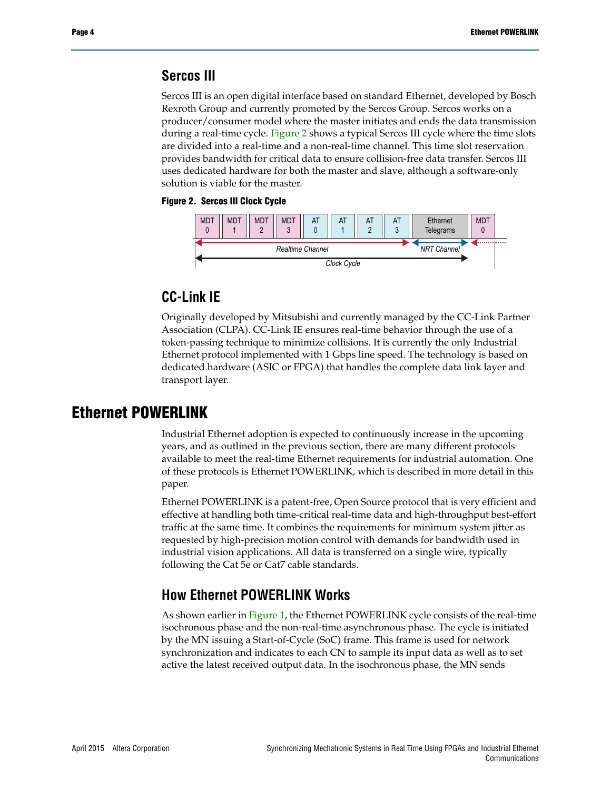#### **Sercos III**

Sercos III is an open digital interface based on standard Ethernet, developed by Bosch Rexroth Group and currently promoted by the Sercos Group. Sercos works on a producer/consumer model where the master initiates and ends the data transmission during a real-time cycle. [Figure 2](#page-3-0) shows a typical Sercos III cycle where the time slots are divided into a real-time and a non-real-time channel. This time slot reservation provides bandwidth for critical data to ensure collision-free data transfer. Sercos III uses dedicated hardware for both the master and slave, although a software-only solution is viable for the master.

#### <span id="page-3-0"></span>**Figure 2. Sercos III Clock Cycle**



### **CC-Link IE**

Originally developed by Mitsubishi and currently managed by the CC-Link Partner Association (CLPA). CC-Link IE ensures real-time behavior through the use of a token-passing technique to minimize collisions. It is currently the only Industrial Ethernet protocol implemented with 1 Gbps line speed. The technology is based on dedicated hardware (ASIC or FPGA) that handles the complete data link layer and transport layer.

### **Ethernet POWERLINK**

Industrial Ethernet adoption is expected to continuously increase in the upcoming years, and as outlined in the previous section, there are many different protocols available to meet the real-time Ethernet requirements for industrial automation. One of these protocols is Ethernet POWERLINK, which is described in more detail in this paper.

Ethernet POWERLINK is a patent-free, Open Source protocol that is very efficient and effective at handling both time-critical real-time data and high-throughput best-effort traffic at the same time. It combines the requirements for minimum system jitter as requested by high-precision motion control with demands for bandwidth used in industrial vision applications. All data is transferred on a single wire, typically following the Cat 5e or Cat7 cable standards.

### **How Ethernet POWERLINK Works**

As shown earlier in [Figure 1,](#page-2-0) the Ethernet POWERLINK cycle consists of the real-time isochronous phase and the non-real-time asynchronous phase. The cycle is initiated by the MN issuing a Start-of-Cycle (SoC) frame. This frame is used for network synchronization and indicates to each CN to sample its input data as well as to set active the latest received output data. In the isochronous phase, the MN sends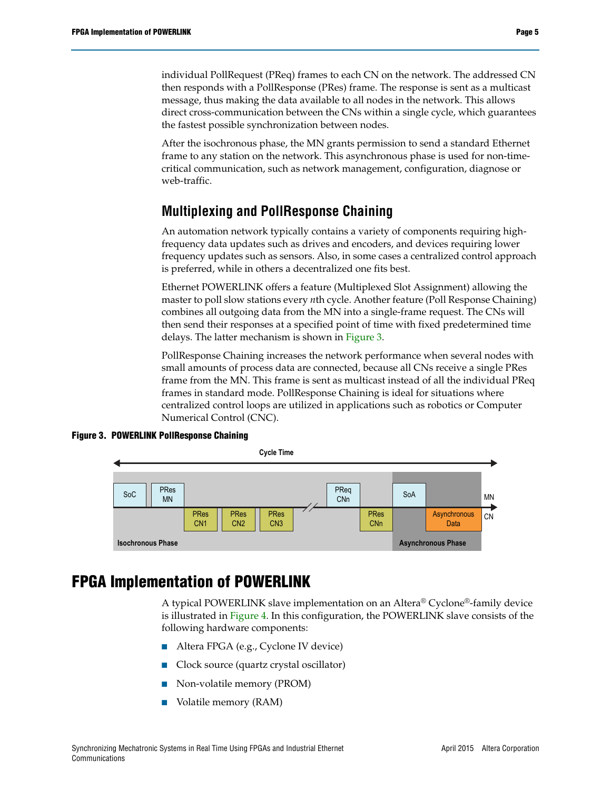individual PollRequest (PReq) frames to each CN on the network. The addressed CN then responds with a PollResponse (PRes) frame. The response is sent as a multicast message, thus making the data available to all nodes in the network. This allows direct cross-communication between the CNs within a single cycle, which guarantees the fastest possible synchronization between nodes.

After the isochronous phase, the MN grants permission to send a standard Ethernet frame to any station on the network. This asynchronous phase is used for non-timecritical communication, such as network management, configuration, diagnose or web-traffic.

# **Multiplexing and PollResponse Chaining**

An automation network typically contains a variety of components requiring highfrequency data updates such as drives and encoders, and devices requiring lower frequency updates such as sensors. Also, in some cases a centralized control approach is preferred, while in others a decentralized one fits best.

Ethernet POWERLINK offers a feature (Multiplexed Slot Assignment) allowing the master to poll slow stations every *n*th cycle. Another feature (Poll Response Chaining) combines all outgoing data from the MN into a single-frame request. The CNs will then send their responses at a specified point of time with fixed predetermined time delays. The latter mechanism is shown in [Figure 3.](#page-4-0)

PollResponse Chaining increases the network performance when several nodes with small amounts of process data are connected, because all CNs receive a single PRes frame from the MN. This frame is sent as multicast instead of all the individual PReq frames in standard mode. PollResponse Chaining is ideal for situations where centralized control loops are utilized in applications such as robotics or Computer Numerical Control (CNC).

<span id="page-4-0"></span>



# **FPGA Implementation of POWERLINK**

A typical POWERLINK slave implementation on an Altera® Cyclone®-family device is illustrated in [Figure 4.](#page-5-0) In this configuration, the POWERLINK slave consists of the following hardware components:

- Altera FPGA (e.g., Cyclone IV device)
- Clock source (quartz crystal oscillator)
- Non-volatile memory (PROM)
- Volatile memory (RAM)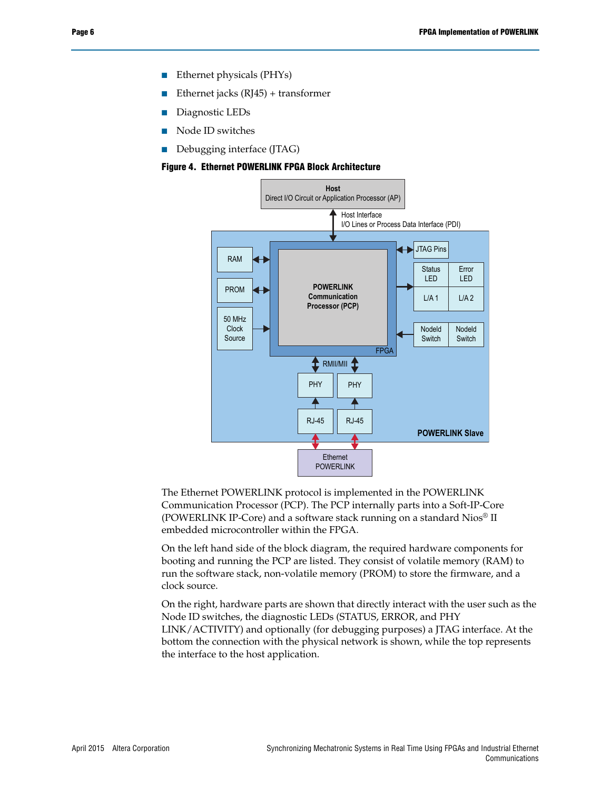- Ethernet physicals (PHYs)
- Ethernet jacks  $(RJ45)$  + transformer
- Diagnostic LEDs
- Node ID switches
- Debugging interface (JTAG)

#### <span id="page-5-0"></span>**Figure 4. Ethernet POWERLINK FPGA Block Architecture**



The Ethernet POWERLINK protocol is implemented in the POWERLINK Communication Processor (PCP). The PCP internally parts into a Soft-IP-Core (POWERLINK IP-Core) and a software stack running on a standard Nios® II embedded microcontroller within the FPGA.

On the left hand side of the block diagram, the required hardware components for booting and running the PCP are listed. They consist of volatile memory (RAM) to run the software stack, non-volatile memory (PROM) to store the firmware, and a clock source.

On the right, hardware parts are shown that directly interact with the user such as the Node ID switches, the diagnostic LEDs (STATUS, ERROR, and PHY LINK/ACTIVITY) and optionally (for debugging purposes) a JTAG interface. At the bottom the connection with the physical network is shown, while the top represents the interface to the host application.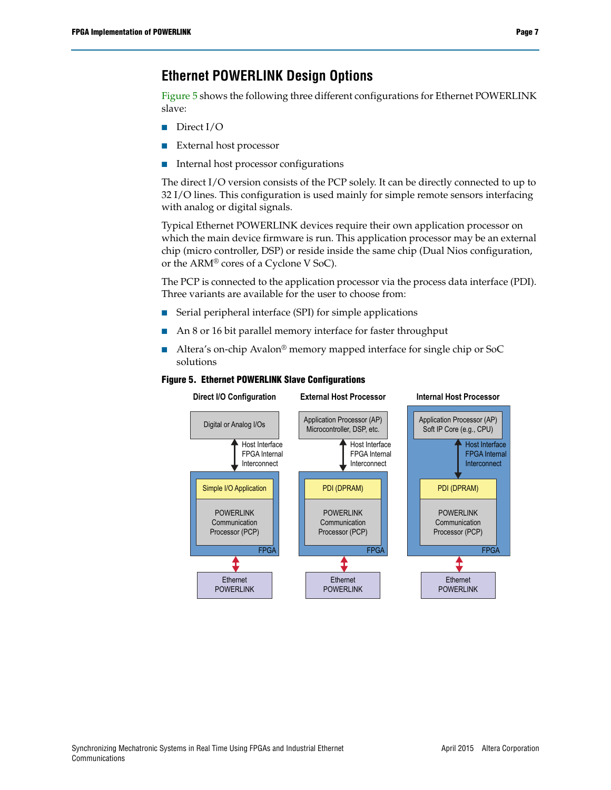# **Ethernet POWERLINK Design Options**

[Figure 5](#page-6-0) shows the following three different configurations for Ethernet POWERLINK slave:

- Direct I/O
- External host processor
- Internal host processor configurations

The direct I/O version consists of the PCP solely. It can be directly connected to up to 32 I/O lines. This configuration is used mainly for simple remote sensors interfacing with analog or digital signals.

Typical Ethernet POWERLINK devices require their own application processor on which the main device firmware is run. This application processor may be an external chip (micro controller, DSP) or reside inside the same chip (Dual Nios configuration, or the ARM® cores of a Cyclone V SoC).

The PCP is connected to the application processor via the process data interface (PDI). Three variants are available for the user to choose from:

- Serial peripheral interface (SPI) for simple applications
- An 8 or 16 bit parallel memory interface for faster throughput
- Altera's on-chip Avalon<sup>®</sup> memory mapped interface for single chip or SoC solutions

<span id="page-6-0"></span>

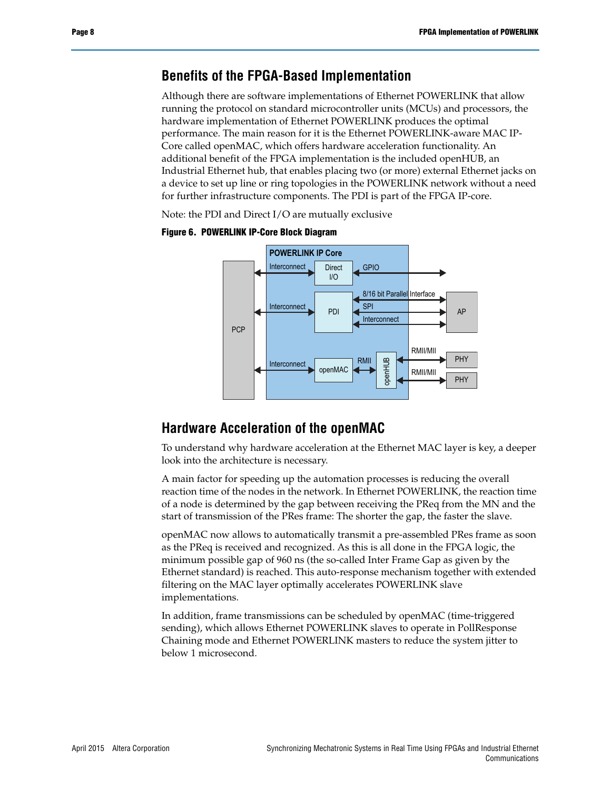#### **Benefits of the FPGA-Based Implementation**

Although there are software implementations of Ethernet POWERLINK that allow running the protocol on standard microcontroller units (MCUs) and processors, the hardware implementation of Ethernet POWERLINK produces the optimal performance. The main reason for it is the Ethernet POWERLINK-aware MAC IP-Core called openMAC, which offers hardware acceleration functionality. An additional benefit of the FPGA implementation is the included openHUB, an Industrial Ethernet hub, that enables placing two (or more) external Ethernet jacks on a device to set up line or ring topologies in the POWERLINK network without a need for further infrastructure components. The PDI is part of the FPGA IP-core.

Note: the PDI and Direct I/O are mutually exclusive



**Figure 6. POWERLINK IP-Core Block Diagram**

#### **Hardware Acceleration of the openMAC**

To understand why hardware acceleration at the Ethernet MAC layer is key, a deeper look into the architecture is necessary.

A main factor for speeding up the automation processes is reducing the overall reaction time of the nodes in the network. In Ethernet POWERLINK, the reaction time of a node is determined by the gap between receiving the PReq from the MN and the start of transmission of the PRes frame: The shorter the gap, the faster the slave.

openMAC now allows to automatically transmit a pre-assembled PRes frame as soon as the PReq is received and recognized. As this is all done in the FPGA logic, the minimum possible gap of 960 ns (the so-called Inter Frame Gap as given by the Ethernet standard) is reached. This auto-response mechanism together with extended filtering on the MAC layer optimally accelerates POWERLINK slave implementations.

In addition, frame transmissions can be scheduled by openMAC (time-triggered sending), which allows Ethernet POWERLINK slaves to operate in PollResponse Chaining mode and Ethernet POWERLINK masters to reduce the system jitter to below 1 microsecond.